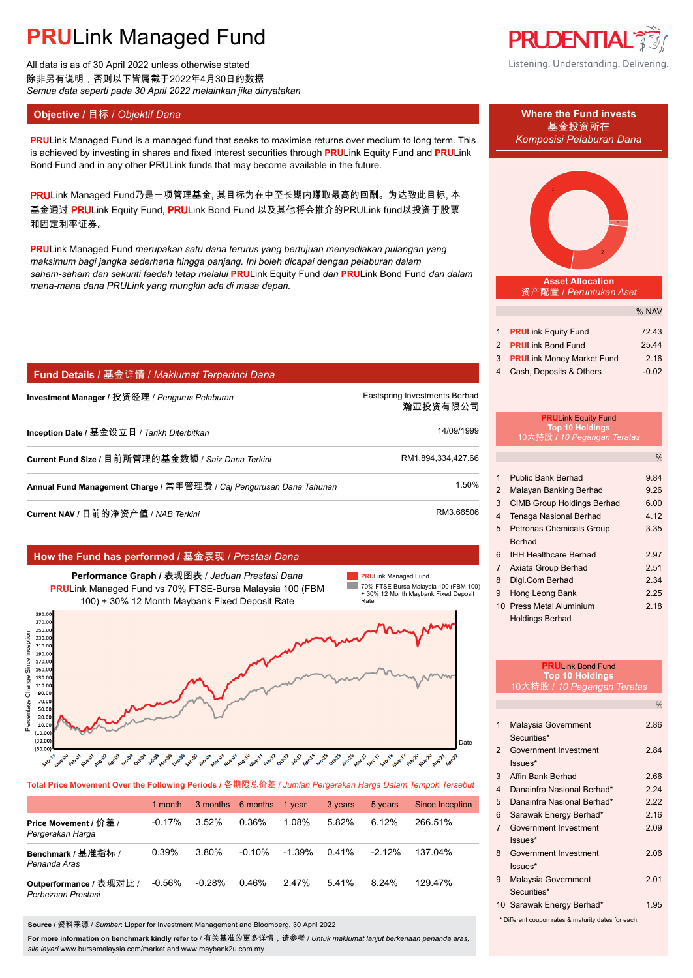All data is as of 30 April 2022 unless otherwise stated 除非另有说明,否则以下皆属截于2022年4月30日的数据 *Semua data seperti pada 30 April 2022 melainkan jika dinyatakan*

## **Objective /** 目标 / *Objektif Dana* **Where the Fund invests**

**PRULink Managed Fund is a managed fund that seeks to maximise returns over medium to long term. This** *Komposisi Pelaburan Dana* is achieved by investing in shares and fixed interest securities through **PRU**Link Equity Fund and **PRU**Link Bond Fund and in any other PRULink funds that may become available in the future.

PRULink Managed Fund乃是一项管理基金, 其目标为在中至长期内赚取最高的回酬。为达致此目标, 本 基金通过 PRULink Equity Fund, PRULink Bond Fund 以及其他将会推介的PRULink fund以投资于股票 和固定利率证券。

**PRU**Link Managed Fund *merupakan satu dana terurus yang bertujuan menyediakan pulangan yang maksimum bagi jangka sederhana hingga panjang. Ini boleh dicapai dengan pelaburan dalam saham-saham dan sekuriti faedah tetap melalui* **PRU**Link Equity Fund *dan* **PRU**Link Bond Fund *dan dalam mana-mana dana PRULink yang mungkin ada di masa depan.*

## **Fund Details /** 基金详情 / *Maklumat Terperinci Dana*

**Investment Manager /** 投资经理 / *Pengurus Pelaburan* Eastspring Investments Berhad. 瀚亚投资有限公司. **Inception Date /** 基金设立日 / *Tarikh Diterbitkan* 14/09/1999. **Current Fund Size / 目前所管理的基金数额 / Saiz Dana Terkini RM1,894,334,427.66. Annual Fund Management Charge /** 常年管理费 / *Caj Pengurusan Dana Tahunan* 1.50%.

**Current NAV /** 目前的净资产值 / *NAB Terkini* RM3.66506.

## **How the Fund has performed /** 基金表现 / *Prestasi Dana*



**Total Price Movement Over the Following Periods /** 各期限总价差 / *Jumlah Pergerakan Harga Dalam Tempoh Tersebut*

|                                               | 1 month   |          | 3 months 6 months | 1 vear   | 3 years | 5 years   | <b>Since Inception</b> |
|-----------------------------------------------|-----------|----------|-------------------|----------|---------|-----------|------------------------|
| Price Movement / 价差 /<br>Pergerakan Harga     | $-0.17\%$ | 3.52%    | 0.36%             | 1.08%    | 5.82%   | 6.12%     | 266.51%                |
| Benchmark / 基准指标 /<br>Penanda Aras            | 0.39%     | 3.80%    | $-0.10%$          | $-1.39%$ | 0.41%   | $-2.12\%$ | 137.04%                |
| Outperformance / 表现对比 /<br>Perbezaan Prestasi | $-0.56%$  | $-0.28%$ | 0.46%             | 247%     | 541%    | 8.24%     | 129.47%                |

**Source /** 资料来源 / *Sumber*: Lipper for Investment Management and Bloomberg, 30 April 2022

**For more information on benchmark kindly refer to** / 有关基准的更多详情,请参考 / *Untuk maklumat lanjut berkenaan penanda aras, sila layari* www.bursamalaysia.com/market and www.maybank2u.com.my



Listening. Understanding. Delivering.



**Asset Allocation** 资产配置 / *Peruntukan Aset*

|                             | % NAV   |
|-----------------------------|---------|
|                             |         |
| 1 PRULink Equity Fund       | 72.43   |
| 2 PRULink Bond Fund         | 25.44   |
| 3 PRULink Money Market Fund | 2.16    |
| 4 Cash, Deposits & Others   | $-0.02$ |

### **PRU**Link Equity Fund **Top 10 Holdings** 10大持股 **/** *10 Pegangan Teratas*

|                |                                   | $\%$ |
|----------------|-----------------------------------|------|
|                |                                   |      |
| 1              | Public Bank Berhad                | 9.84 |
| $\overline{2}$ | Malayan Banking Berhad            | 9.26 |
| 3              | <b>CIMB Group Holdings Berhad</b> | 6.00 |
| 4              | <b>Tenaga Nasional Berhad</b>     | 4.12 |
| 5              | <b>Petronas Chemicals Group</b>   | 3.35 |
|                | Berhad                            |      |
| 6              | <b>IHH Healthcare Berhad</b>      | 2.97 |
| $\overline{7}$ | Axiata Group Berhad               | 2.51 |
| 8              | Digi.Com Berhad                   | 2.34 |
| 9              | Hong Leong Bank                   | 2.25 |
|                | 10 Press Metal Aluminium          | 2.18 |
|                | Holdings Berhad                   |      |

|                         | <b>PRULink Bond Fund</b><br><b>Top 10 Holdings</b>  |               |  |  |
|-------------------------|-----------------------------------------------------|---------------|--|--|
|                         | 10大持股 / 10 Pegangan Teratas                         |               |  |  |
|                         |                                                     | $\frac{0}{0}$ |  |  |
|                         |                                                     |               |  |  |
| 1                       | Malaysia Government                                 | 2.86          |  |  |
|                         | Securities*                                         |               |  |  |
| $\mathfrak{p}$          | Government Investment                               | 2.84          |  |  |
|                         | $lssues*$                                           |               |  |  |
| 3                       | Affin Bank Berhad                                   | 2.66          |  |  |
| $\overline{\mathbf{4}}$ | Danainfra Nasional Berhad*                          | 224           |  |  |
| 5                       | Danainfra Nasional Berhad*                          | 222           |  |  |
| 6                       | Sarawak Energy Berhad*                              | 2.16          |  |  |
| $\overline{7}$          | Government Investment                               | 2.09          |  |  |
|                         | Issues*                                             |               |  |  |
| 8                       | Government Investment                               | 2.06          |  |  |
|                         | $lssues*$                                           |               |  |  |
| 9                       | Malaysia Government                                 | 2.01          |  |  |
|                         | Securities*                                         |               |  |  |
|                         | 10 Sarawak Energy Berhad*                           | 1.95          |  |  |
|                         | * Different coupon rates & maturity dates for each. |               |  |  |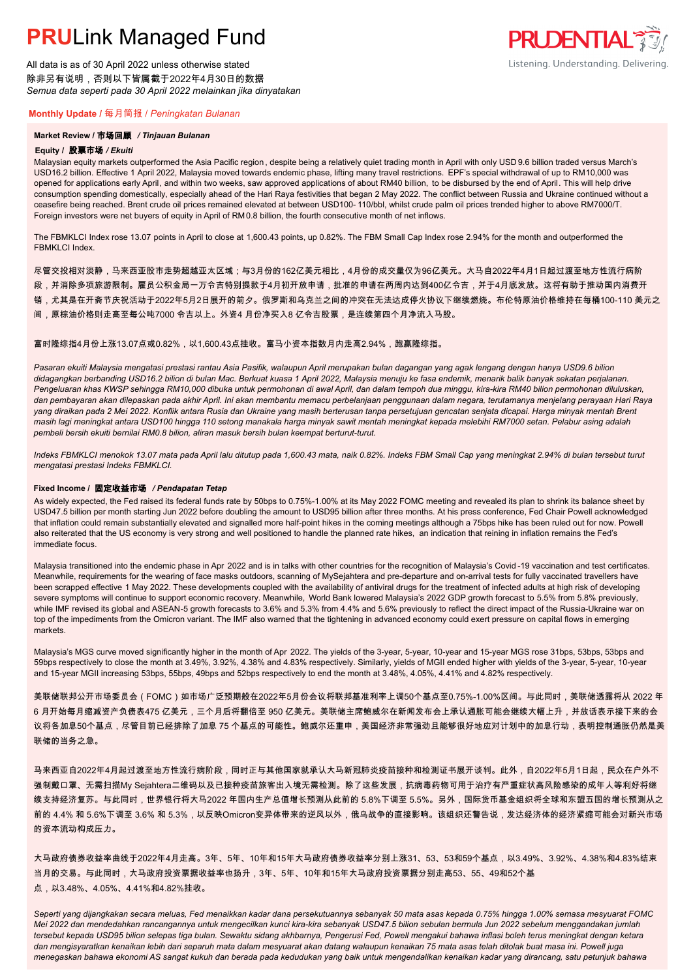All data is as of 30 April 2022 unless otherwise stated 除非另有说明,否则以下皆属截于2022年4月30日的数据 *Semua data seperti pada 30 April 2022 melainkan jika dinyatakan*

### **Monthly Update /** 每月简报 / *Peningkatan Bulanan*

### **Market Review /** 市场回顾 */ Tinjauan Bulanan*

#### **Equity /** 股票市场 */ Ekuiti.*

Malaysian equity markets outperformed the Asia Pacific region , despite being a relatively quiet trading month in April with only USD 9.6 billion traded versus March's USD16.2 billion. Effective 1 April 2022, Malaysia moved towards endemic phase, lifting many travel restrictions. EPF's special withdrawal of up to RM10,000 was opened for applications early April, and within two weeks, saw approved applications of about RM40 billion, to be disbursed by the end of April. This will help drive consumption spending domestically, especially ahead of the Hari Raya festivities that began 2 May 2022. The conflict between Russia and Ukraine continued without a ceasefire being reached. Brent crude oil prices remained elevated at between USD100- 110/bbl, whilst crude palm oil prices trended higher to above RM7000/T. Foreign investors were net buyers of equity in April of RM0.8 billion, the fourth consecutive month of net inflows.

The FBMKLCI Index rose 13.07 points in April to close at 1,600.43 points, up 0.82%. The FBM Small Cap Index rose 2.94% for the month and outperformed the FRMKLCI Index

尽管交投相对淡静,马来西亚股市走势超越亚太区域;与3月份的162亿美元相比,4月份的成交量仅为96亿美元。大马自2022年4月1日起过渡至地方性流行病阶

段,并消除多项旅游限制。雇员公积金局一万令吉特别提款于4月初开放申请,批准的申请在两周内达到400亿令吉,并于4月底发放。这将有助于推动国内消费开

- 销,尤其是在开斋节庆祝活动于2022年5月2日展开的前夕。俄罗斯和乌克兰之间的冲突在无法达成停火协议下继续燃烧。布伦特原油价格维持在每桶100-110 美元之
- 间,原棕油价格则走高至每公吨7000 令吉以上。外资4 月份净买入8 亿令吉股票,是连续第四个月净流入马股。

### 富时隆综指4月份上涨13.07点或0.82%,以1,600.43点挂收。富马小资本指数月内走高2.94%,跑赢隆综指。

*Pasaran ekuiti Malaysia mengatasi prestasi rantau Asia Pasifik, walaupun April merupakan bulan dagangan yang agak lengang dengan hanya USD9.6 bilion didagangkan berbanding USD16.2 bilion di bulan Mac. Berkuat kuasa 1 April 2022, Malaysia menuju ke fasa endemik, menarik balik banyak sekatan perjalanan. Pengeluaran khas KWSP sehingga RM10,000 dibuka untuk permohonan di awal April, dan dalam tempoh dua minggu, kira-kira RM40 bilion permohonan diluluskan, dan pembayaran akan dilepaskan pada akhir April. Ini akan membantu memacu perbelanjaan penggunaan dalam negara, terutamanya menjelang perayaan Hari Raya yang diraikan pada 2 Mei 2022. Konflik antara Rusia dan Ukraine yang masih berterusan tanpa persetujuan gencatan senjata dicapai. Harga minyak mentah Brent masih lagi meningkat antara USD100 hingga 110 setong manakala harga minyak sawit mentah meningkat kepada melebihi RM7000 setan. Pelabur asing adalah pembeli bersih ekuiti bernilai RM0.8 bilion, aliran masuk bersih bulan keempat berturut-turut.*

*Indeks FBMKLCI menokok 13.07 mata pada April lalu ditutup pada 1,600.43 mata, naik 0.82%. Indeks FBM Small Cap yang meningkat 2.94% di bulan tersebut turut mengatasi prestasi Indeks FBMKLCI.*

#### **Fixed Income /** 固定收益市场 */ Pendapatan Tetap*

*.* As widely expected, the Fed raised its federal funds rate by 50bps to 0.75%-1.00% at its May 2022 FOMC meeting and revealed its plan to shrink its balance sheet by USD47.5 billion per month starting Jun 2022 before doubling the amount to USD95 billion after three months. At his press conference, Fed Chair Powell acknowledged that inflation could remain substantially elevated and signalled more half-point hikes in the coming meetings although a 75bps hike has been ruled out for now. Powell also reiterated that the US economy is very strong and well positioned to handle the planned rate hikes, an indication that reining in inflation remains the Fed's immediate focus.

Malaysia transitioned into the endemic phase in Apr 2022 and is in talks with other countries for the recognition of Malaysia's Covid -19 vaccination and test certificates. Meanwhile, requirements for the wearing of face masks outdoors, scanning of MySejahtera and pre-departure and on-arrival tests for fully vaccinated travellers have been scrapped effective 1 May 2022. These developments coupled with the availability of antiviral drugs for the treatment of infected adults at high risk of developing severe symptoms will continue to support economic recovery. Meanwhile, World Bank lowered Malaysia's 2022 GDP growth forecast to 5.5% from 5.8% previously, while IMF revised its global and ASEAN-5 growth forecasts to 3.6% and 5.3% from 4.4% and 5.6% previously to reflect the direct impact of the Russia-Ukraine war on top of the impediments from the Omicron variant. The IMF also warned that the tightening in advanced economy could exert pressure on capital flows in emerging markets.

Malaysia's MGS curve moved significantly higher in the month of Apr 2022. The yields of the 3-year, 5-year, 10-year and 15-year MGS rose 31bps, 53bps, 53bps and 59bps respectively to close the month at 3.49%, 3.92%, 4.38% and 4.83% respectively. Similarly, yields of MGII ended higher with yields of the 3-year, 5-year, 10-year and 15-year MGII increasing 53bps, 55bps, 49bps and 52bps respectively to end the month at 3.48%, 4.05%, 4.41% and 4.82% respectively.

美联储联邦公开市场委员会(FOMC)如市场广泛预期般在2022年5月份会议将联邦基准利率上调50个基点至0.75%-1.00%区间。与此同时,美联储透露将从 2022 年 6 月开始每月缩减资产负债表475 亿美元,三个月后将翻倍至 950 亿美元。美联储主席鲍威尔在新闻发布会上承认通胀可能会继续大幅上升,并放话表示接下来的会 议将各加息50个基点,尽管目前已经排除了加息 75 个基点的可能性。鲍威尔还重申,美国经济非常强劲且能够很好地应对计划中的加息行动,表明控制通胀仍然是美 联储的当务之急。

马来西亚自2022年4月起过渡至地方性流行病阶段,同时正与其他国家就承认大马新冠肺炎疫苗接种和检测证书展开谈判。此外,自2022年5月1日起,民众在户外不 强制戴口罩、无需扫描My Sejahtera二维码以及已接种疫苗旅客出入境无需检测。除了这些发展,抗病毒药物可用于治疗有严重症状高风险感染的成年人等利好将继 续支持经济复苏。与此同时,世界银行将大马2022 年国内生产总值增长预测从此前的 5.8%下调至 5.5%。另外,国际货币基金组织将全球和东盟五国的增长预测从之 前的 4.4% 和 5.6%下调至 3.6% 和 5.3%,以反映Omicron变异体带来的逆风以外,俄乌战争的直接影响。该组织还警告说,发达经济体的经济紧缩可能会对新兴市场 的资本流动构成压力。

大马政府债券收益率曲线于2022年4月走高。3年、5年、10年和15年大马政府债券收益率分别上涨31、53、53和59个基点,以3.49%、3.92%、4.38%和4.83%结束 当月的交易。与此同时,大马政府投资票据收益率也扬升,3年、5年、10年和15年大马政府投资票据分别走高53、55、49和52个基 点,以3.48%、4.05%、4.41%和4.82%挂收。

*Seperti yang dijangkakan secara meluas, Fed menaikkan kadar dana persekutuannya sebanyak 50 mata asas kepada 0.75% hingga 1.00% semasa mesyuarat FOMC Mei 2022 dan mendedahkan rancangannya untuk mengecilkan kunci kira-kira sebanyak USD47.5 bilion sebulan bermula Jun 2022 sebelum menggandakan jumlah tersebut kepada USD95 bilion selepas tiga bulan. Sewaktu sidang akhbarnya, Pengerusi Fed, Powell mengakui bahawa inflasi boleh terus meningkat dengan ketara dan mengisyaratkan kenaikan lebih dari separuh mata dalam mesyuarat akan datang walaupun kenaikan 75 mata asas telah ditolak buat masa ini. Powell juga menegaskan bahawa ekonomi AS sangat kukuh dan berada pada kedudukan yang baik untuk mengendalikan kenaikan kadar yang dirancang, satu petunjuk bahawa* 

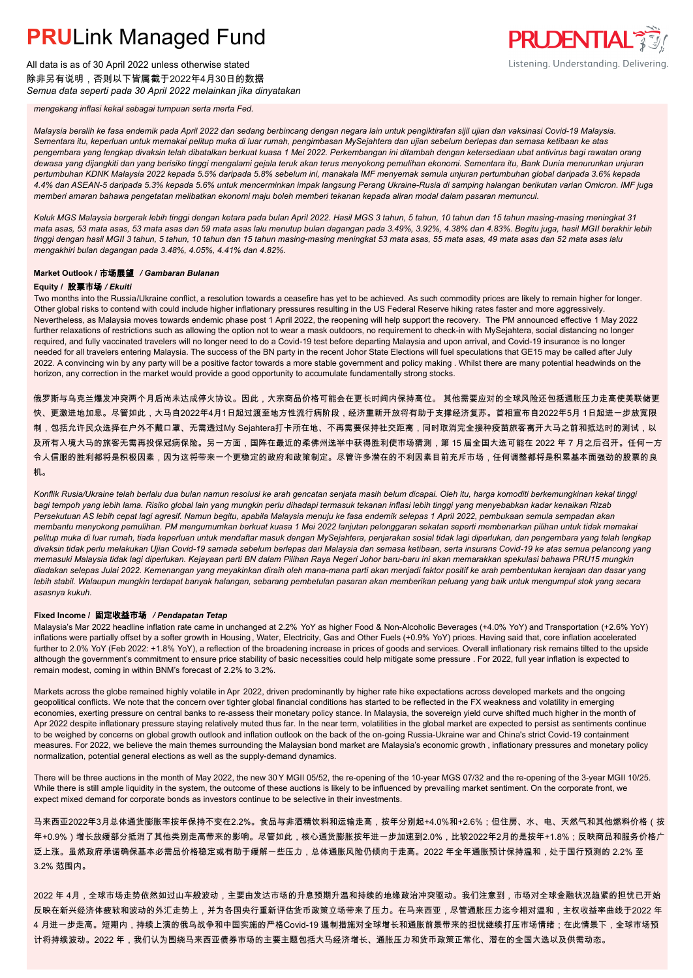All data is as of 30 April 2022 unless otherwise stated 除非另有说明,否则以下皆属截于2022年4月30日的数据 *Semua data seperti pada 30 April 2022 melainkan jika dinyatakan* **PRUDENTIAL** Listening. Understanding. Delivering.

*mengekang inflasi kekal sebagai tumpuan serta merta Fed.*

*Malaysia beralih ke fasa endemik pada April 2022 dan sedang berbincang dengan negara lain untuk pengiktirafan sijil ujian dan vaksinasi Covid-19 Malaysia. Sementara itu, keperluan untuk memakai pelitup muka di luar rumah, pengimbasan MySejahtera dan ujian sebelum berlepas dan semasa ketibaan ke atas pengembara yang lengkap divaksin telah dibatalkan berkuat kuasa 1 Mei 2022. Perkembangan ini ditambah dengan ketersediaan ubat antivirus bagi rawatan orang dewasa yang dijangkiti dan yang berisiko tinggi mengalami gejala teruk akan terus menyokong pemulihan ekonomi. Sementara itu, Bank Dunia menurunkan unjuran pertumbuhan KDNK Malaysia 2022 kepada 5.5% daripada 5.8% sebelum ini, manakala IMF menyemak semula unjuran pertumbuhan global daripada 3.6% kepada 4.4% dan ASEAN-5 daripada 5.3% kepada 5.6% untuk mencerminkan impak langsung Perang Ukraine-Rusia di samping halangan berikutan varian Omicron. IMF juga memberi amaran bahawa pengetatan melibatkan ekonomi maju boleh memberi tekanan kepada aliran modal dalam pasaran memuncul.*

*Keluk MGS Malaysia bergerak lebih tinggi dengan ketara pada bulan April 2022. Hasil MGS 3 tahun, 5 tahun, 10 tahun dan 15 tahun masing-masing meningkat 31 mata asas, 53 mata asas, 53 mata asas dan 59 mata asas lalu menutup bulan dagangan pada 3.49%, 3.92%, 4.38% dan 4.83%. Begitu juga, hasil MGII berakhir lebih tinggi dengan hasil MGII 3 tahun, 5 tahun, 10 tahun dan 15 tahun masing-masing meningkat 53 mata asas, 55 mata asas, 49 mata asas dan 52 mata asas lalu mengakhiri bulan dagangan pada 3.48%, 4.05%, 4.41% dan 4.82%.*

#### **Market Outlook /** 市场展望 */ Gambaran Bulanan*

#### **Equity /** 股票市场 */ Ekuiti*

Two months into the Russia/Ukraine conflict, a resolution towards a ceasefire has yet to be achieved. As such commodity prices are likely to remain higher for longer. Other global risks to contend with could include higher inflationary pressures resulting in the US Federal Reserve hiking rates faster and more aggressively. Nevertheless, as Malaysia moves towards endemic phase post 1 April 2022, the reopening will help support the recovery. The PM announced effective 1 May 2022 further relaxations of restrictions such as allowing the option not to wear a mask outdoors, no requirement to check-in with MySejahtera, social distancing no longer required, and fully vaccinated travelers will no longer need to do a Covid-19 test before departing Malaysia and upon arrival, and Covid-19 insurance is no longer needed for all travelers entering Malaysia. The success of the BN party in the recent Johor State Elections will fuel speculations that GE15 may be called after July 2022. A convincing win by any party will be a positive factor towards a more stable government and policy making . Whilst there are many potential headwinds on the horizon, any correction in the market would provide a good opportunity to accumulate fundamentally strong stocks.

俄罗斯与乌克兰爆发冲突两个月后尚未达成停火协议。因此,大宗商品价格可能会在更长时间内保持高位。 其他需要应对的全球风险还包括通胀压力走高使美联储更 快、更激进地加息。尽管如此,大马自2022年4月1日起过渡至地方性流行病阶段,经济重新开放将有助于支撑经济复苏。首相宣布自2022年5月 1日起进一步放宽限 制,包括允许民众选择在户外不戴口罩、无需透过My Sejahtera打卡所在地、不再需要保持社交距离,同时取消完全接种疫苗旅客离开大马之前和抵达时的测试,以 及所有入境大马的旅客无需再投保冠病保险。另一方面,国阵在最近的柔佛州选举中获得胜利使市场猜测,第 15 届全国大选可能在 2022 年 7 月之后召开。任何一方 令人信服的胜利都将是积极因素,因为这将带来一个更稳定的政府和政策制定。尽管许多潜在的不利因素目前充斥市场,任何调整都将是积累基本面强劲的股票的良 机。

*Konflik Rusia/Ukraine telah berlalu dua bulan namun resolusi ke arah gencatan senjata masih belum dicapai. Oleh itu, harga komoditi berkemungkinan kekal tinggi bagi tempoh yang lebih lama. Risiko global lain yang mungkin perlu dihadapi termasuk tekanan inflasi lebih tinggi yang menyebabkan kadar kenaikan Rizab Persekutuan AS lebih cepat lagi agresif. Namun begitu, apabila Malaysia menuju ke fasa endemik selepas 1 April 2022, pembukaan semula sempadan akan membantu menyokong pemulihan. PM mengumumkan berkuat kuasa 1 Mei 2022 lanjutan pelonggaran sekatan seperti membenarkan pilihan untuk tidak memakai pelitup muka di luar rumah, tiada keperluan untuk mendaftar masuk dengan MySejahtera, penjarakan sosial tidak lagi diperlukan, dan pengembara yang telah lengkap divaksin tidak perlu melakukan Ujian Covid-19 samada sebelum berlepas dari Malaysia dan semasa ketibaan, serta insurans Covid-19 ke atas semua pelancong yang memasuki Malaysia tidak lagi diperlukan. Kejayaan parti BN dalam Pilihan Raya Negeri Johor baru-baru ini akan memarakkan spekulasi bahawa PRU15 mungkin diadakan selepas Julai 2022. Kemenangan yang meyakinkan diraih oleh mana-mana parti akan menjadi faktor positif ke arah pembentukan kerajaan dan dasar yang lebih stabil. Walaupun mungkin terdapat banyak halangan, sebarang pembetulan pasaran akan memberikan peluang yang baik untuk mengumpul stok yang secara asasnya kukuh.*

#### **Fixed Income /** 固定收益市场 */ Pendapatan Tetap*

*.* Malaysia's Mar 2022 headline inflation rate came in unchanged at 2.2% YoY as higher Food & Non-Alcoholic Beverages (+4.0% YoY) and Transportation (+2.6% YoY) inflations were partially offset by a softer growth in Housing, Water, Electricity, Gas and Other Fuels (+0.9% YoY) prices. Having said that, core inflation accelerated further to 2.0% YoY (Feb 2022: +1.8% YoY), a reflection of the broadening increase in prices of goods and services. Overall inflationary risk remains tilted to the upside although the government's commitment to ensure price stability of basic necessities could help mitigate some pressure . For 2022, full year inflation is expected to remain modest, coming in within BNM's forecast of 2.2% to 3.2%.

Markets across the globe remained highly volatile in Apr 2022, driven predominantly by higher rate hike expectations across developed markets and the ongoing geopolitical conflicts. We note that the concern over tighter global financial conditions has started to be reflected in the FX weakness and volatility in emerging economies, exerting pressure on central banks to re-assess their monetary policy stance. In Malaysia, the sovereign yield curve shifted much higher in the month of Apr 2022 despite inflationary pressure staying relatively muted thus far. In the near term, volatilities in the global market are expected to persist as sentiments continue to be weighed by concerns on global growth outlook and inflation outlook on the back of the on-going Russia-Ukraine war and China's strict Covid-19 containment measures. For 2022, we believe the main themes surrounding the Malaysian bond market are Malaysia's economic growth , inflationary pressures and monetary policy normalization, potential general elections as well as the supply-demand dynamics.

There will be three auctions in the month of May 2022, the new 30Y MGII 05/52, the re-opening of the 10-year MGS 07/32 and the re-opening of the 3-year MGII 10/25. While there is still ample liquidity in the system, the outcome of these auctions is likely to be influenced by prevailing market sentiment. On the corporate front, we expect mixed demand for corporate bonds as investors continue to be selective in their investments.

马来西亚2022年3月总体通货膨胀率按年保持不变在2.2%。食品与非酒精饮料和运输走高,按年分别起+4.0%和+2.6%;但住房、水、电、天然气和其他燃料价格(按 年+0.9%)增长放缓部分抵消了其他类别走高带来的影响。尽管如此,核心通货膨胀按年进一步加速到2.0%,比较2022年2月的是按年+1.8%;反映商品和服务价格广 泛上涨。虽然政府承诺确保基本必需品价格稳定或有助于缓解一些压力,总体通胀风险仍倾向于走高。2022 年全年通胀预计保持温和,处于国行预测的 2.2% 至 3.2% 范围内。

2022 年 4月,全球市场走势依然如过山车般波动,主要由发达市场的升息预期升温和持续的地缘政治冲突驱动。我们注意到,市场对全球金融状况趋紧的担忧已开始 反映在新兴经济体疲软和波动的外汇走势上,并为各国央行重新评估货币政策立场带来了压力。在马来西亚,尽管通胀压力迄今相对温和,主权收益率曲线于2022 年 4 月进一步走高。短期内,持续上演的俄乌战争和中国实施的严格Covid-19 遏制措施对全球增长和通胀前景带来的担忧继续打压市场情绪;在此情景下,全球市场预 计将持续波动。2022 年,我们认为围绕马来西亚债券市场的主要主题包括大马经济增长、通胀压力和货币政策正常化、潜在的全国大选以及供需动态。